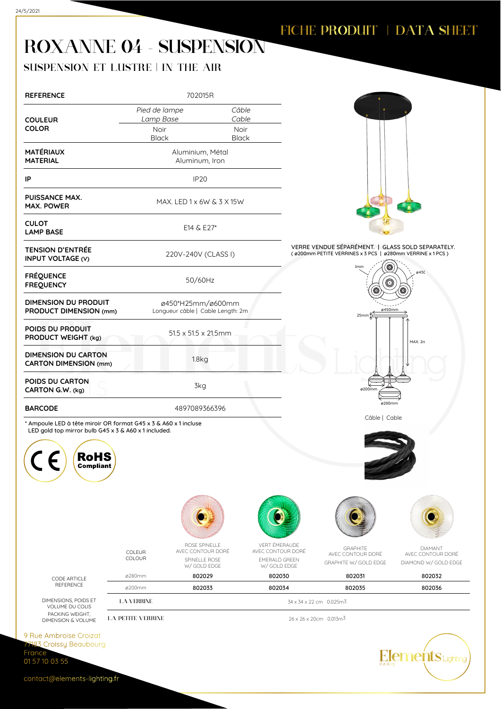## ROXANNE 04 - SUSPENSION

## SUSPENSION ET LUSTRE | IN THE AIR

| <b>REFERENCE</b>                                                                                                                                   |                                               | 702015R                                                             |                                                                           |                                                   |                                                                                                                |                                                             |  |  |
|----------------------------------------------------------------------------------------------------------------------------------------------------|-----------------------------------------------|---------------------------------------------------------------------|---------------------------------------------------------------------------|---------------------------------------------------|----------------------------------------------------------------------------------------------------------------|-------------------------------------------------------------|--|--|
|                                                                                                                                                    | Pied de lampe                                 |                                                                     | Câble<br>Cable                                                            |                                                   |                                                                                                                |                                                             |  |  |
| <b>COULEUR</b><br><b>COLOR</b>                                                                                                                     | Lamp Base<br>Noir<br><b>Black</b>             |                                                                     | Noir<br>Black                                                             |                                                   |                                                                                                                |                                                             |  |  |
| <b>MATÉRIAUX</b><br><b>MATERIAL</b>                                                                                                                |                                               | Aluminium, Métal<br>Aluminum, Iron                                  |                                                                           |                                                   |                                                                                                                |                                                             |  |  |
| IP                                                                                                                                                 |                                               | IP <sub>20</sub>                                                    |                                                                           |                                                   |                                                                                                                |                                                             |  |  |
| <b>PUISSANCE MAX.</b><br><b>MAX. POWER</b>                                                                                                         |                                               | MAX. LED 1 x 6W & 3 X 15W                                           |                                                                           |                                                   |                                                                                                                |                                                             |  |  |
| <b>CULOT</b><br><b>LAMP BASE</b>                                                                                                                   |                                               | E14 & E27*                                                          |                                                                           |                                                   |                                                                                                                |                                                             |  |  |
| <b>TENSION D'ENTRÉE</b><br><b>INPUT VOLTAGE (V)</b>                                                                                                |                                               | 220V-240V (CLASS I)                                                 |                                                                           |                                                   | VERRE VENDUE SÉPARÉMENT.   GLASS SOLD SEPARATELY.<br>(ø200mm PETITE VERRINES x 3 PCS   ø280mm VERRINE x 1 PCS) |                                                             |  |  |
| <b>FRÉQUENCE</b><br><b>FREQUENCY</b>                                                                                                               |                                               | 50/60Hz                                                             |                                                                           |                                                   | ) <sub>mm</sub>                                                                                                | ø45(                                                        |  |  |
| <b>DIMENSION DU PRODUIT</b><br>PRODUCT DIMENSION (mm)                                                                                              |                                               | ø450*H25mm/ø600mm<br>Longueur câble   Cable Length: 2m              |                                                                           |                                                   | ø450mm<br>$25$ mm $\frac{4}{5}$                                                                                |                                                             |  |  |
| POIDS DU PRODUIT<br>PRODUCT WEIGHT (kg)                                                                                                            |                                               | 51.5 x 51.5 x 21.5mm                                                |                                                                           |                                                   |                                                                                                                | MAX. 2n                                                     |  |  |
| <b>DIMENSION DU CARTON</b><br><b>CARTON DIMENSION (mm)</b>                                                                                         |                                               | 1.8 <sub>g</sub>                                                    |                                                                           |                                                   |                                                                                                                |                                                             |  |  |
| POIDS DU CARTON<br>CARTON G.W. (kg)                                                                                                                |                                               | 3kg                                                                 |                                                                           |                                                   | ø200mm                                                                                                         |                                                             |  |  |
| <b>BARCODE</b>                                                                                                                                     |                                               | 4897089366396                                                       |                                                                           |                                                   | ø280mm<br>Câble   Cable                                                                                        |                                                             |  |  |
| * Ampoule LED à tête miroir OR format G45 x 3 & A60 x 1 incluse<br>LED gold top mirror bulb G45 x 3 & A60 x 1 included.<br><b>RoHS</b><br>Compuant |                                               |                                                                     |                                                                           |                                                   |                                                                                                                |                                                             |  |  |
|                                                                                                                                                    |                                               |                                                                     |                                                                           |                                                   |                                                                                                                |                                                             |  |  |
|                                                                                                                                                    | COLEUR<br>COLOUR                              | ROSE SPINELLE<br>AVEC CONTOUR DORÉ<br>SPINELLE ROSE<br>W/ GOLD EDGE | VERT ÉMERAUDE<br>AVEC CONTOUR DORÉ<br><b>EMERALD GREEN</b><br>W/GOLD EDGE |                                                   | <b>GRAPHITE</b><br>AVEC CONTOUR DORÉ<br>GRAPHITE W/ GOLD EDGE                                                  | <b>DIAMANT</b><br>AVEC CONTOUR DORÉ<br>DIAMOND W/ GOLD EDGE |  |  |
| CODE ARTICLE                                                                                                                                       | ø280mm                                        | 802029                                                              | 802030                                                                    |                                                   | 802031                                                                                                         | 802032                                                      |  |  |
| <b>REFERENCE</b>                                                                                                                                   | ø200mm                                        | 802033                                                              | 802034                                                                    |                                                   | 802035                                                                                                         | 802036                                                      |  |  |
| DIMENSIONS, POIDS ET<br>VOLUME DU COLIS<br>PACKING WEIGHT,<br>DIMENSION & VOLUME                                                                   | <b>LA VERRINE</b><br><b>LA PETITE VERRINE</b> |                                                                     |                                                                           | 34 x 34 x 22 cm 0.025m3<br>26 x 26 x 20cm 0.013m3 |                                                                                                                |                                                             |  |  |
|                                                                                                                                                    |                                               |                                                                     |                                                                           |                                                   |                                                                                                                |                                                             |  |  |
| 9 Rue Ambroise Croizat<br>77183 Croissy Beaubourg<br>France                                                                                        |                                               |                                                                     |                                                                           |                                                   |                                                                                                                | <b>Hements</b> Lighting                                     |  |  |
| 01 57 10 03 55                                                                                                                                     |                                               |                                                                     |                                                                           |                                                   | PARIS                                                                                                          |                                                             |  |  |
| contact@elements-lighting.fr                                                                                                                       |                                               |                                                                     |                                                                           |                                                   |                                                                                                                |                                                             |  |  |